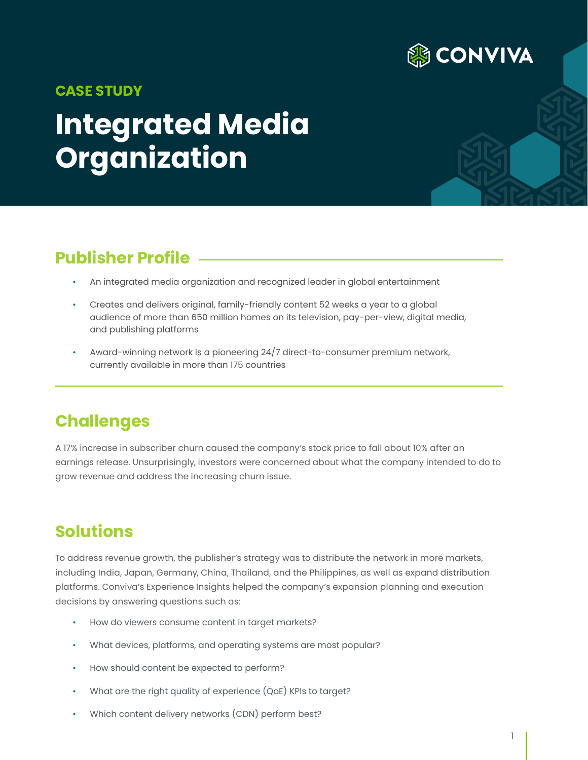

#### **CASE STUDY**

# **Integrated Media Organization**

## **Publisher Profile**

- An integrated media organization and recognized leader in global entertainment
- Creates and delivers original, family-friendly content 52 weeks a year to a global audience of more than 650 million homes on its television, pay-per-view, digital media, and publishing platforms
- Award-winning network is a pioneering 24/7 direct-to-consumer premium network, currently available in more than 175 countries

### **Challenges**

A 17% increase in subscriber churn caused the company's stock price to fall about 10% after an earnings release. Unsurprisingly, investors were concerned about what the company intended to do to grow revenue and address the increasing churn issue.

### **Solutions**

To address revenue growth, the publisher's strategy was to distribute the network in more markets, including India, Japan, Germany, China, Thailand, and the Philippines, as well as expand distribution platforms. Conviva's Experience Insights helped the company's expansion planning and execution decisions by answering questions such as:

- How do viewers consume content in target markets?
- What devices, platforms, and operating systems are most popular?
- How should content be expected to perform?
- What are the right quality of experience (QoE) KPIs to target?
- Which content delivery networks (CDN) perform best?